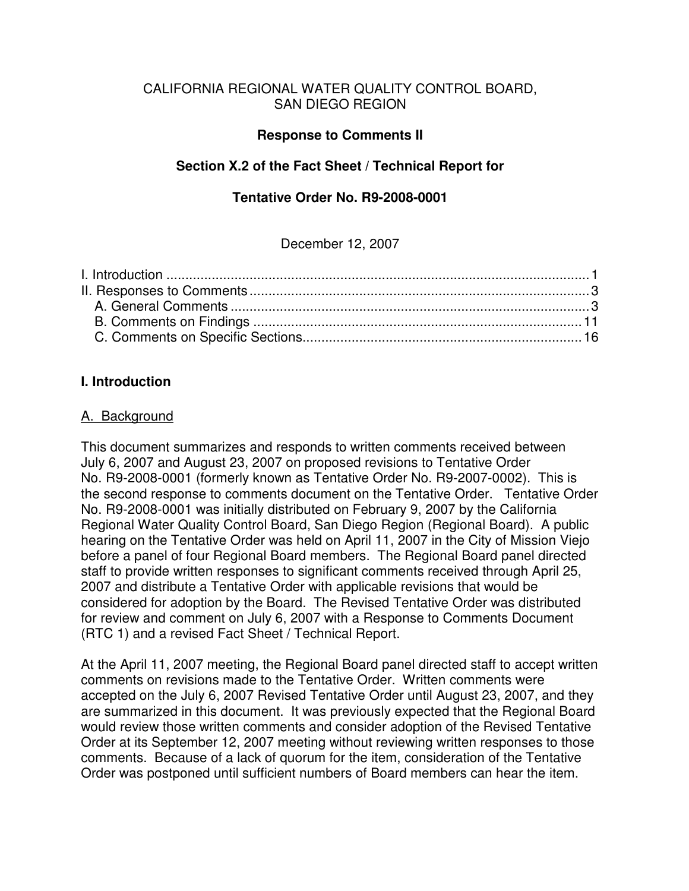### CALIFORNIA REGIONAL WATER QUALITY CONTROL BOARD, SAN DIEGO REGION

### **Response to Comments II**

## **Section X.2 of the Fact Sheet / Technical Report for**

### **Tentative Order No. R9-2008-0001**

### December 12, 2007

#### **I. Introduction**

#### A. Background

This document summarizes and responds to written comments received between July 6, 2007 and August 23, 2007 on proposed revisions to Tentative Order No. R9-2008-0001 (formerly known as Tentative Order No. R9-2007-0002). This is the second response to comments document on the Tentative Order. Tentative Order No. R9-2008-0001 was initially distributed on February 9, 2007 by the California Regional Water Quality Control Board, San Diego Region (Regional Board). A public hearing on the Tentative Order was held on April 11, 2007 in the City of Mission Viejo before a panel of four Regional Board members. The Regional Board panel directed staff to provide written responses to significant comments received through April 25, 2007 and distribute a Tentative Order with applicable revisions that would be considered for adoption by the Board. The Revised Tentative Order was distributed for review and comment on July 6, 2007 with a Response to Comments Document (RTC 1) and a revised Fact Sheet / Technical Report.

At the April 11, 2007 meeting, the Regional Board panel directed staff to accept written comments on revisions made to the Tentative Order. Written comments were accepted on the July 6, 2007 Revised Tentative Order until August 23, 2007, and they are summarized in this document. It was previously expected that the Regional Board would review those written comments and consider adoption of the Revised Tentative Order at its September 12, 2007 meeting without reviewing written responses to those comments. Because of a lack of quorum for the item, consideration of the Tentative Order was postponed until sufficient numbers of Board members can hear the item.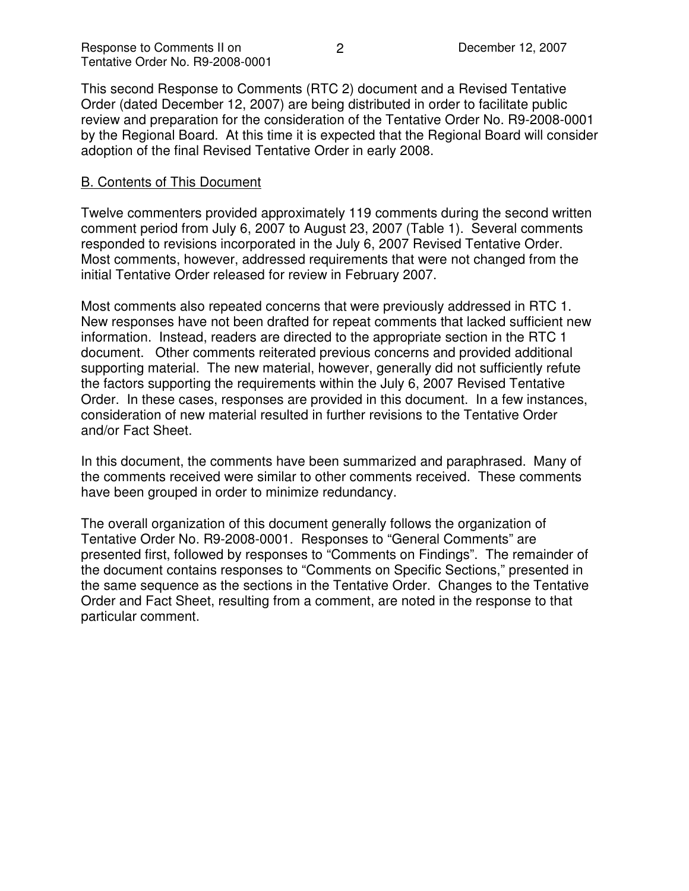This second Response to Comments (RTC 2) document and a Revised Tentative Order (dated December 12, 2007) are being distributed in order to facilitate public review and preparation for the consideration of the Tentative Order No. R9-2008-0001 by the Regional Board. At this time it is expected that the Regional Board will consider adoption of the final Revised Tentative Order in early 2008.

### B. Contents of This Document

Twelve commenters provided approximately 119 comments during the second written comment period from July 6, 2007 to August 23, 2007 (Table 1). Several comments responded to revisions incorporated in the July 6, 2007 Revised Tentative Order. Most comments, however, addressed requirements that were not changed from the initial Tentative Order released for review in February 2007.

Most comments also repeated concerns that were previously addressed in RTC 1. New responses have not been drafted for repeat comments that lacked sufficient new information. Instead, readers are directed to the appropriate section in the RTC 1 document. Other comments reiterated previous concerns and provided additional supporting material. The new material, however, generally did not sufficiently refute the factors supporting the requirements within the July 6, 2007 Revised Tentative Order. In these cases, responses are provided in this document. In a few instances, consideration of new material resulted in further revisions to the Tentative Order and/or Fact Sheet.

In this document, the comments have been summarized and paraphrased. Many of the comments received were similar to other comments received. These comments have been grouped in order to minimize redundancy.

The overall organization of this document generally follows the organization of Tentative Order No. R9-2008-0001. Responses to "General Comments" are presented first, followed by responses to "Comments on Findings". The remainder of the document contains responses to "Comments on Specific Sections," presented in the same sequence as the sections in the Tentative Order. Changes to the Tentative Order and Fact Sheet, resulting from a comment, are noted in the response to that particular comment.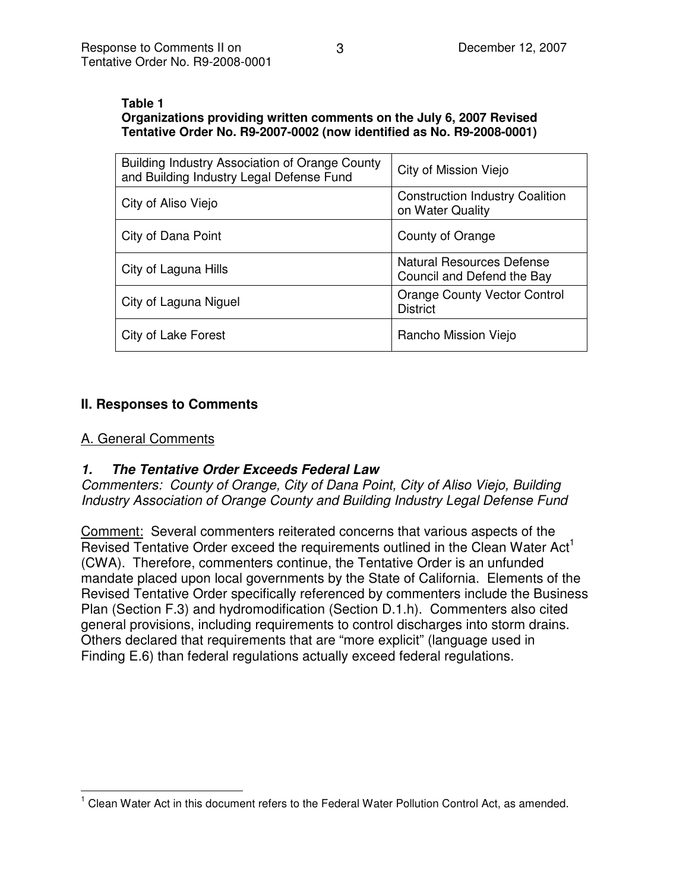#### **Table 1**

## **Organizations providing written comments on the July 6, 2007 Revised Tentative Order No. R9-2007-0002 (now identified as No. R9-2008-0001)**

| Building Industry Association of Orange County<br>and Building Industry Legal Defense Fund | City of Mission Viejo                                          |
|--------------------------------------------------------------------------------------------|----------------------------------------------------------------|
| City of Aliso Viejo                                                                        | <b>Construction Industry Coalition</b><br>on Water Quality     |
| City of Dana Point                                                                         | County of Orange                                               |
| City of Laguna Hills                                                                       | <b>Natural Resources Defense</b><br>Council and Defend the Bay |
| City of Laguna Niguel                                                                      | <b>Orange County Vector Control</b><br><b>District</b>         |
| City of Lake Forest                                                                        | Rancho Mission Viejo                                           |

# **II. Responses to Comments**

### A. General Comments

# *1. The Tentative Order Exceeds Federal Law*

*Commenters: County of Orange, City of Dana Point, City of Aliso Viejo, Building Industry Association of Orange County and Building Industry Legal Defense Fund*

Comment: Several commenters reiterated concerns that various aspects of the Revised Tentative Order exceed the requirements outlined in the Clean Water Act<sup>1</sup> (CWA). Therefore, commenters continue, the Tentative Order is an unfunded mandate placed upon local governments by the State of California. Elements of the Revised Tentative Order specifically referenced by commenters include the Business Plan (Section F.3) and hydromodification (Section D.1.h). Commenters also cited general provisions, including requirements to control discharges into storm drains. Others declared that requirements that are "more explicit" (language used in Finding E.6) than federal regulations actually exceed federal regulations.

 $<sup>1</sup>$  Clean Water Act in this document refers to the Federal Water Pollution Control Act, as amended.</sup>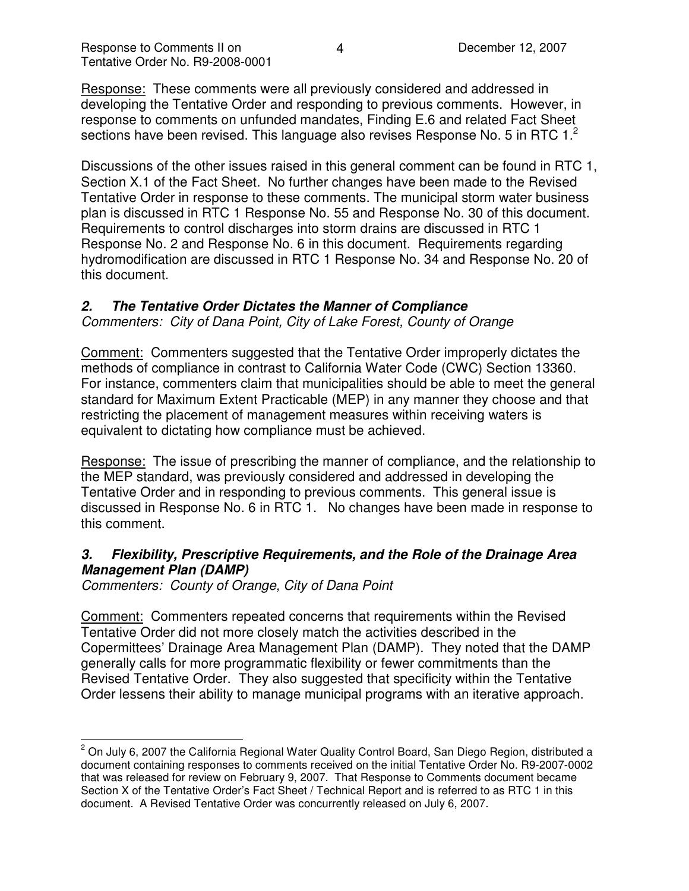Response: These comments were all previously considered and addressed in developing the Tentative Order and responding to previous comments. However, in response to comments on unfunded mandates, Finding E.6 and related Fact Sheet sections have been revised. This language also revises Response No. 5 in RTC 1.<sup>2</sup>

Discussions of the other issues raised in this general comment can be found in RTC 1, Section X.1 of the Fact Sheet. No further changes have been made to the Revised Tentative Order in response to these comments. The municipal storm water business plan is discussed in RTC 1 Response No. 55 and Response No. 30 of this document. Requirements to control discharges into storm drains are discussed in RTC 1 Response No. 2 and Response No. 6 in this document. Requirements regarding hydromodification are discussed in RTC 1 Response No. 34 and Response No. 20 of this document.

## *2. The Tentative Order Dictates the Manner of Compliance*

*Commenters: City of Dana Point, City of Lake Forest, County of Orange*

Comment: Commenters suggested that the Tentative Order improperly dictates the methods of compliance in contrast to California Water Code (CWC) Section 13360. For instance, commenters claim that municipalities should be able to meet the general standard for Maximum Extent Practicable (MEP) in any manner they choose and that restricting the placement of management measures within receiving waters is equivalent to dictating how compliance must be achieved.

Response: The issue of prescribing the manner of compliance, and the relationship to the MEP standard, was previously considered and addressed in developing the Tentative Order and in responding to previous comments. This general issue is discussed in Response No. 6 in RTC 1. No changes have been made in response to this comment.

# *3. Flexibility, Prescriptive Requirements, and the Role of the Drainage Area Management Plan (DAMP)*

*Commenters: County of Orange, City of Dana Point*

Comment: Commenters repeated concerns that requirements within the Revised Tentative Order did not more closely match the activities described in the Copermittees' Drainage Area Management Plan (DAMP). They noted that the DAMP generally calls for more programmatic flexibility or fewer commitments than the Revised Tentative Order. They also suggested that specificity within the Tentative Order lessens their ability to manage municipal programs with an iterative approach.

 $2$  On July 6, 2007 the California Regional Water Quality Control Board, San Diego Region, distributed a document containing responses to comments received on the initial Tentative Order No. R9-2007-0002 that was released for review on February 9, 2007. That Response to Comments document became Section X of the Tentative Order's Fact Sheet / Technical Report and is referred to as RTC 1 in this document. A Revised Tentative Order was concurrently released on July 6, 2007.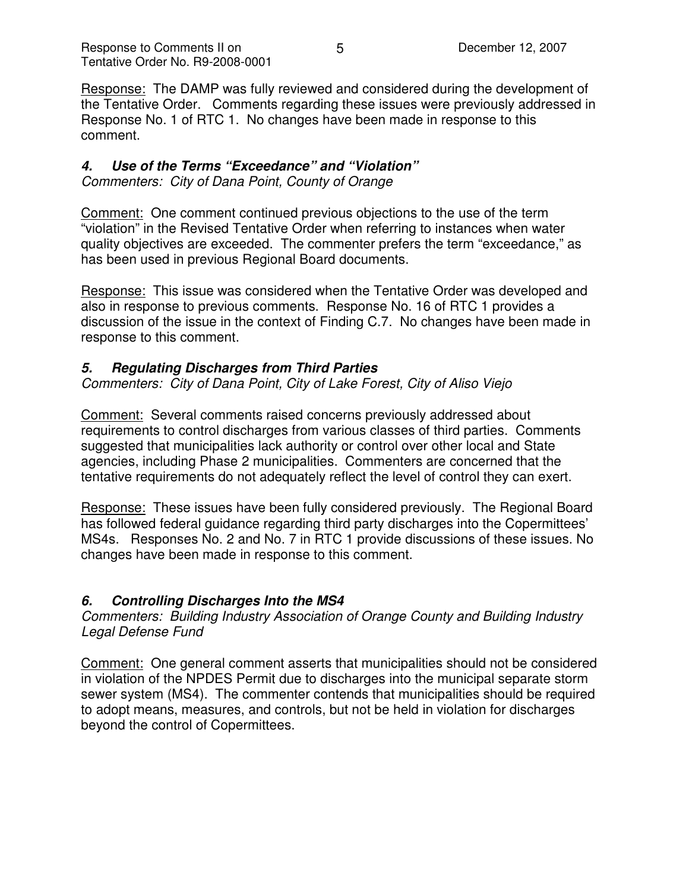Response: The DAMP was fully reviewed and considered during the development of the Tentative Order. Comments regarding these issues were previously addressed in Response No. 1 of RTC 1. No changes have been made in response to this comment.

# *4. Use of the Terms "Exceedance" and "Violation"*

*Commenters: City of Dana Point, County of Orange*

Comment: One comment continued previous objections to the use of the term "violation" in the Revised Tentative Order when referring to instances when water quality objectives are exceeded. The commenter prefers the term "exceedance," as has been used in previous Regional Board documents.

Response: This issue was considered when the Tentative Order was developed and also in response to previous comments. Response No. 16 of RTC 1 provides a discussion of the issue in the context of Finding C.7. No changes have been made in response to this comment.

# *5. Regulating Discharges from Third Parties*

*Commenters: City of Dana Point, City of Lake Forest, City of Aliso Viejo*

Comment: Several comments raised concerns previously addressed about requirements to control discharges from various classes of third parties. Comments suggested that municipalities lack authority or control over other local and State agencies, including Phase 2 municipalities. Commenters are concerned that the tentative requirements do not adequately reflect the level of control they can exert.

Response: These issues have been fully considered previously. The Regional Board has followed federal guidance regarding third party discharges into the Copermittees' MS4s. Responses No. 2 and No. 7 in RTC 1 provide discussions of these issues. No changes have been made in response to this comment.

# *6. Controlling Discharges Into the MS4*

*Commenters: Building Industry Association of Orange County and Building Industry Legal Defense Fund*

Comment: One general comment asserts that municipalities should not be considered in violation of the NPDES Permit due to discharges into the municipal separate storm sewer system (MS4). The commenter contends that municipalities should be required to adopt means, measures, and controls, but not be held in violation for discharges beyond the control of Copermittees.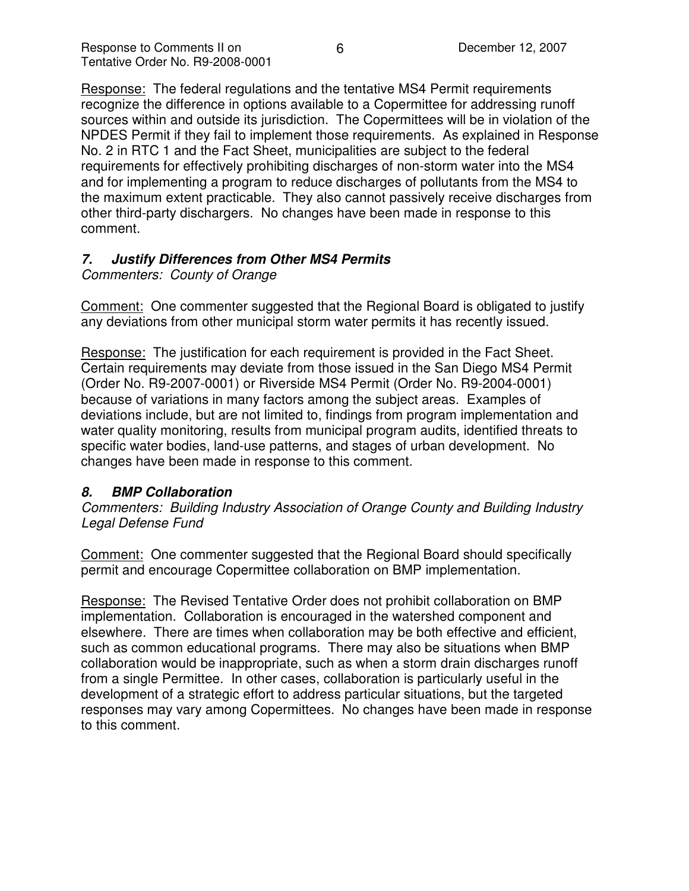Response: The federal regulations and the tentative MS4 Permit requirements recognize the difference in options available to a Copermittee for addressing runoff sources within and outside its jurisdiction. The Copermittees will be in violation of the NPDES Permit if they fail to implement those requirements. As explained in Response No. 2 in RTC 1 and the Fact Sheet, municipalities are subject to the federal requirements for effectively prohibiting discharges of non-storm water into the MS4 and for implementing a program to reduce discharges of pollutants from the MS4 to the maximum extent practicable. They also cannot passively receive discharges from other third-party dischargers. No changes have been made in response to this comment.

## *7. Justify Differences from Other MS4 Permits*

*Commenters: County of Orange*

Comment: One commenter suggested that the Regional Board is obligated to justify any deviations from other municipal storm water permits it has recently issued.

Response: The justification for each requirement is provided in the Fact Sheet. Certain requirements may deviate from those issued in the San Diego MS4 Permit (Order No. R9-2007-0001) or Riverside MS4 Permit (Order No. R9-2004-0001) because of variations in many factors among the subject areas. Examples of deviations include, but are not limited to, findings from program implementation and water quality monitoring, results from municipal program audits, identified threats to specific water bodies, land-use patterns, and stages of urban development. No changes have been made in response to this comment.

### *8. BMP Collaboration*

*Commenters: Building Industry Association of Orange County and Building Industry Legal Defense Fund*

Comment: One commenter suggested that the Regional Board should specifically permit and encourage Copermittee collaboration on BMP implementation.

Response: The Revised Tentative Order does not prohibit collaboration on BMP implementation. Collaboration is encouraged in the watershed component and elsewhere. There are times when collaboration may be both effective and efficient, such as common educational programs. There may also be situations when BMP collaboration would be inappropriate, such as when a storm drain discharges runoff from a single Permittee. In other cases, collaboration is particularly useful in the development of a strategic effort to address particular situations, but the targeted responses may vary among Copermittees. No changes have been made in response to this comment.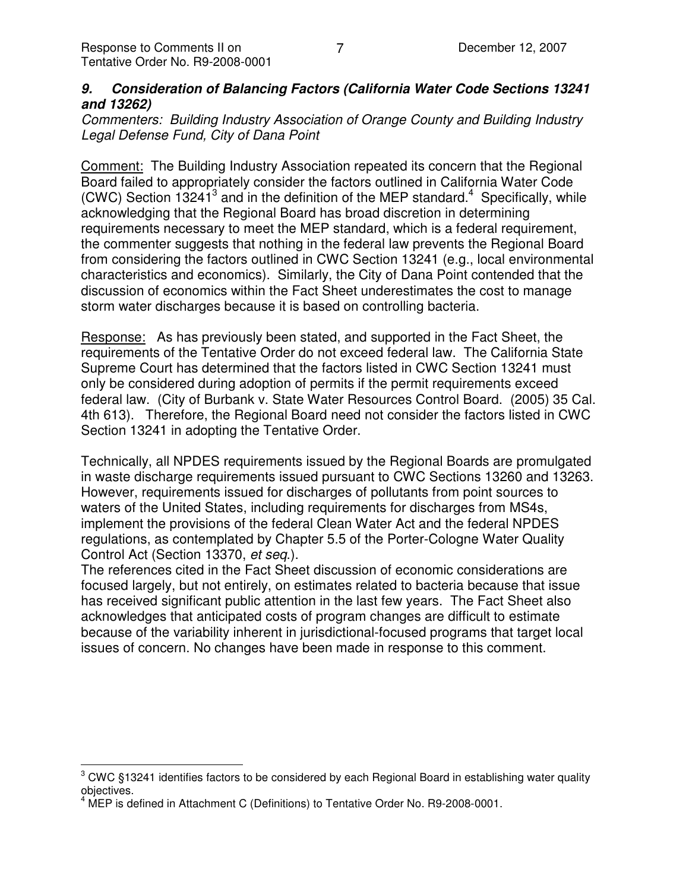## *9. Consideration of Balancing Factors (California Water Code Sections 13241 and 13262)*

*Commenters: Building Industry Association of Orange County and Building Industry Legal Defense Fund, City of Dana Point*

Comment: The Building Industry Association repeated its concern that the Regional Board failed to appropriately consider the factors outlined in California Water Code (CWC) Section 13241<sup>3</sup> and in the definition of the MEP standard.<sup>4</sup> Specifically, while acknowledging that the Regional Board has broad discretion in determining requirements necessary to meet the MEP standard, which is a federal requirement, the commenter suggests that nothing in the federal law prevents the Regional Board from considering the factors outlined in CWC Section 13241 (e.g., local environmental characteristics and economics). Similarly, the City of Dana Point contended that the discussion of economics within the Fact Sheet underestimates the cost to manage storm water discharges because it is based on controlling bacteria.

Response: As has previously been stated, and supported in the Fact Sheet, the requirements of the Tentative Order do not exceed federal law. The California State Supreme Court has determined that the factors listed in CWC Section 13241 must only be considered during adoption of permits if the permit requirements exceed federal law. (City of Burbank v. State Water Resources Control Board. (2005) 35 Cal. 4th 613). Therefore, the Regional Board need not consider the factors listed in CWC Section 13241 in adopting the Tentative Order.

Technically, all NPDES requirements issued by the Regional Boards are promulgated in waste discharge requirements issued pursuant to CWC Sections 13260 and 13263. However, requirements issued for discharges of pollutants from point sources to waters of the United States, including requirements for discharges from MS4s, implement the provisions of the federal Clean Water Act and the federal NPDES regulations, as contemplated by Chapter 5.5 of the Porter-Cologne Water Quality Control Act (Section 13370, *et seq*.).

The references cited in the Fact Sheet discussion of economic considerations are focused largely, but not entirely, on estimates related to bacteria because that issue has received significant public attention in the last few years. The Fact Sheet also acknowledges that anticipated costs of program changes are difficult to estimate because of the variability inherent in jurisdictional-focused programs that target local issues of concern. No changes have been made in response to this comment.

 $3$  CWC §13241 identifies factors to be considered by each Regional Board in establishing water quality objectives.

<sup>4</sup> MEP is defined in Attachment C (Definitions) to Tentative Order No. R9-2008-0001.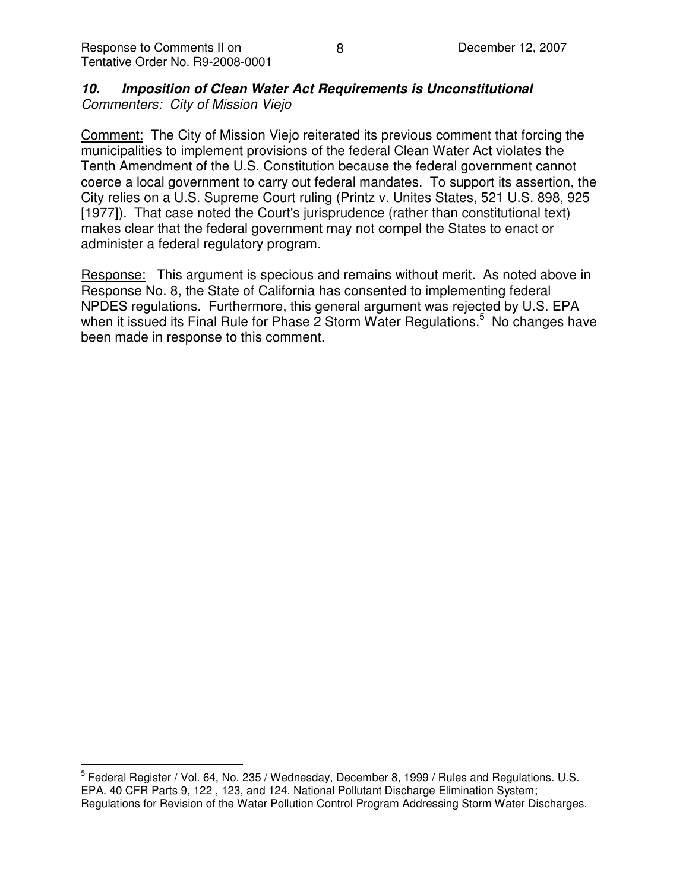## *10. Imposition of Clean Water Act Requirements is Unconstitutional Commenters: City of Mission Viejo*

Comment: The City of Mission Viejo reiterated its previous comment that forcing the municipalities to implement provisions of the federal Clean Water Act violates the Tenth Amendment of the U.S. Constitution because the federal government cannot coerce a local government to carry out federal mandates. To support its assertion, the City relies on a U.S. Supreme Court ruling (Printz v. Unites States, 521 U.S. 898, 925 [1977]). That case noted the Court's jurisprudence (rather than constitutional text) makes clear that the federal government may not compel the States to enact or administer a federal regulatory program.

Response: This argument is specious and remains without merit. As noted above in Response No. 8, the State of California has consented to implementing federal NPDES regulations. Furthermore, this general argument was rejected by U.S. EPA when it issued its Final Rule for Phase 2 Storm Water Regulations.<sup>5</sup> No changes have been made in response to this comment.

<sup>&</sup>lt;sup>5</sup> Federal Register / Vol. 64, No. 235 / Wednesday, December 8, 1999 / Rules and Regulations. U.S. EPA. 40 CFR Parts 9, 122 , 123, and 124. National Pollutant Discharge Elimination System; Regulations for Revision of the Water Pollution Control Program Addressing Storm Water Discharges.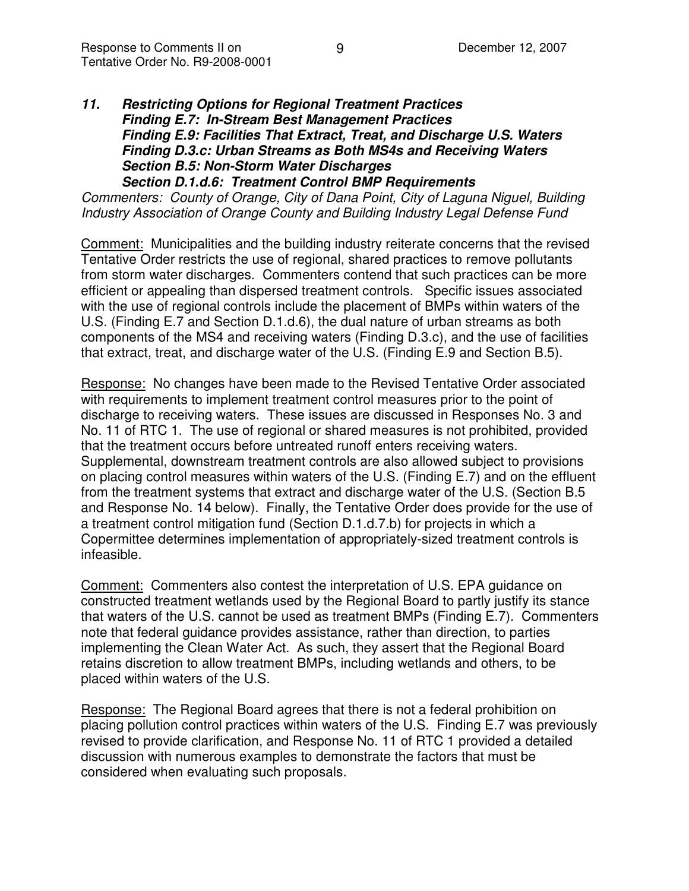#### *11. Restricting Options for Regional Treatment Practices Finding E.7: In-Stream Best Management Practices Finding E.9: Facilities That Extract, Treat, and Discharge U.S. Waters Finding D.3.c: Urban Streams as Both MS4s and Receiving Waters Section B.5: Non-Storm Water Discharges Section D.1.d.6: Treatment Control BMP Requirements*

*Commenters: County of Orange, City of Dana Point, City of Laguna Niguel, Building Industry Association of Orange County and Building Industry Legal Defense Fund*

Comment: Municipalities and the building industry reiterate concerns that the revised Tentative Order restricts the use of regional, shared practices to remove pollutants from storm water discharges. Commenters contend that such practices can be more efficient or appealing than dispersed treatment controls. Specific issues associated with the use of regional controls include the placement of BMPs within waters of the U.S. (Finding E.7 and Section D.1.d.6), the dual nature of urban streams as both components of the MS4 and receiving waters (Finding D.3.c), and the use of facilities that extract, treat, and discharge water of the U.S. (Finding E.9 and Section B.5).

Response: No changes have been made to the Revised Tentative Order associated with requirements to implement treatment control measures prior to the point of discharge to receiving waters. These issues are discussed in Responses No. 3 and No. 11 of RTC 1. The use of regional or shared measures is not prohibited, provided that the treatment occurs before untreated runoff enters receiving waters. Supplemental, downstream treatment controls are also allowed subject to provisions on placing control measures within waters of the U.S. (Finding E.7) and on the effluent from the treatment systems that extract and discharge water of the U.S. (Section B.5 and Response No. 14 below). Finally, the Tentative Order does provide for the use of a treatment control mitigation fund (Section D.1.d.7.b) for projects in which a Copermittee determines implementation of appropriately-sized treatment controls is infeasible.

Comment: Commenters also contest the interpretation of U.S. EPA guidance on constructed treatment wetlands used by the Regional Board to partly justify its stance that waters of the U.S. cannot be used as treatment BMPs (Finding E.7). Commenters note that federal guidance provides assistance, rather than direction, to parties implementing the Clean Water Act. As such, they assert that the Regional Board retains discretion to allow treatment BMPs, including wetlands and others, to be placed within waters of the U.S.

Response: The Regional Board agrees that there is not a federal prohibition on placing pollution control practices within waters of the U.S. Finding E.7 was previously revised to provide clarification, and Response No. 11 of RTC 1 provided a detailed discussion with numerous examples to demonstrate the factors that must be considered when evaluating such proposals.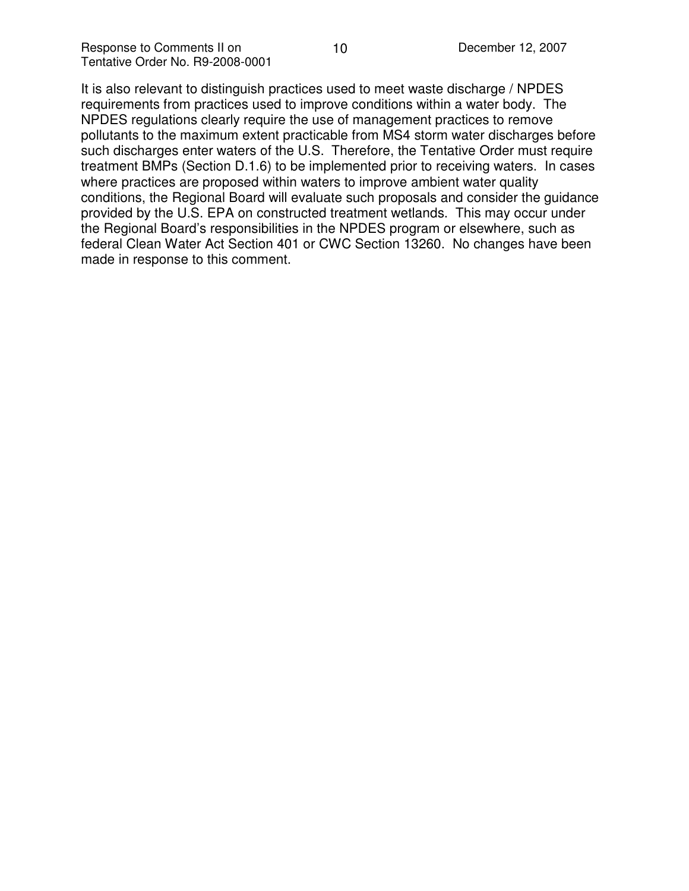It is also relevant to distinguish practices used to meet waste discharge / NPDES requirements from practices used to improve conditions within a water body. The NPDES regulations clearly require the use of management practices to remove pollutants to the maximum extent practicable from MS4 storm water discharges before such discharges enter waters of the U.S. Therefore, the Tentative Order must require treatment BMPs (Section D.1.6) to be implemented prior to receiving waters. In cases where practices are proposed within waters to improve ambient water quality conditions, the Regional Board will evaluate such proposals and consider the guidance provided by the U.S. EPA on constructed treatment wetlands. This may occur under the Regional Board's responsibilities in the NPDES program or elsewhere, such as federal Clean Water Act Section 401 or CWC Section 13260. No changes have been made in response to this comment.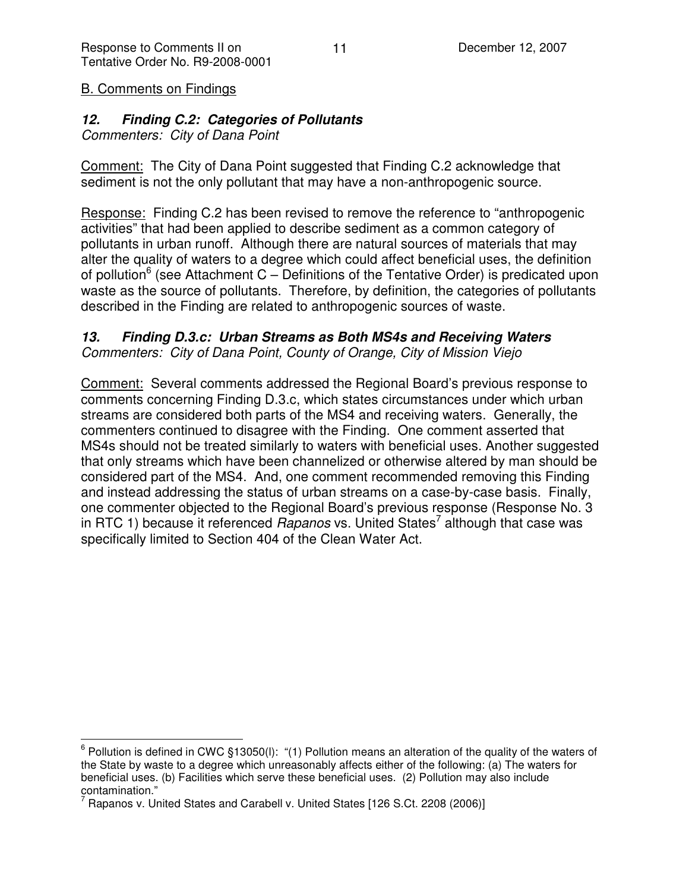### B. Comments on Findings

### *12. Finding C.2: Categories of Pollutants*

*Commenters: City of Dana Point*

Comment: The City of Dana Point suggested that Finding C.2 acknowledge that sediment is not the only pollutant that may have a non-anthropogenic source.

Response: Finding C.2 has been revised to remove the reference to "anthropogenic activities" that had been applied to describe sediment as a common category of pollutants in urban runoff. Although there are natural sources of materials that may alter the quality of waters to a degree which could affect beneficial uses, the definition of pollution<sup>6</sup> (see Attachment C – Definitions of the Tentative Order) is predicated upon waste as the source of pollutants. Therefore, by definition, the categories of pollutants described in the Finding are related to anthropogenic sources of waste.

# *13. Finding D.3.c: Urban Streams as Both MS4s and Receiving Waters*

*Commenters: City of Dana Point, County of Orange, City of Mission Viejo*

Comment: Several comments addressed the Regional Board's previous response to comments concerning Finding D.3.c, which states circumstances under which urban streams are considered both parts of the MS4 and receiving waters. Generally, the commenters continued to disagree with the Finding. One comment asserted that MS4s should not be treated similarly to waters with beneficial uses. Another suggested that only streams which have been channelized or otherwise altered by man should be considered part of the MS4. And, one comment recommended removing this Finding and instead addressing the status of urban streams on a case-by-case basis. Finally, one commenter objected to the Regional Board's previous response (Response No. 3 in RTC 1) because it referenced *Rapanos* vs. United States 7 although that case was specifically limited to Section 404 of the Clean Water Act.

 $6$  Pollution is defined in CWC §13050(I): "(1) Pollution means an alteration of the quality of the waters of the State by waste to a degree which unreasonably affects either of the following: (a) The waters for beneficial uses. (b) Facilities which serve these beneficial uses. (2) Pollution may also include contamination."

Rapanos v. United States and Carabell v. United States [126 S.Ct. 2208 (2006)]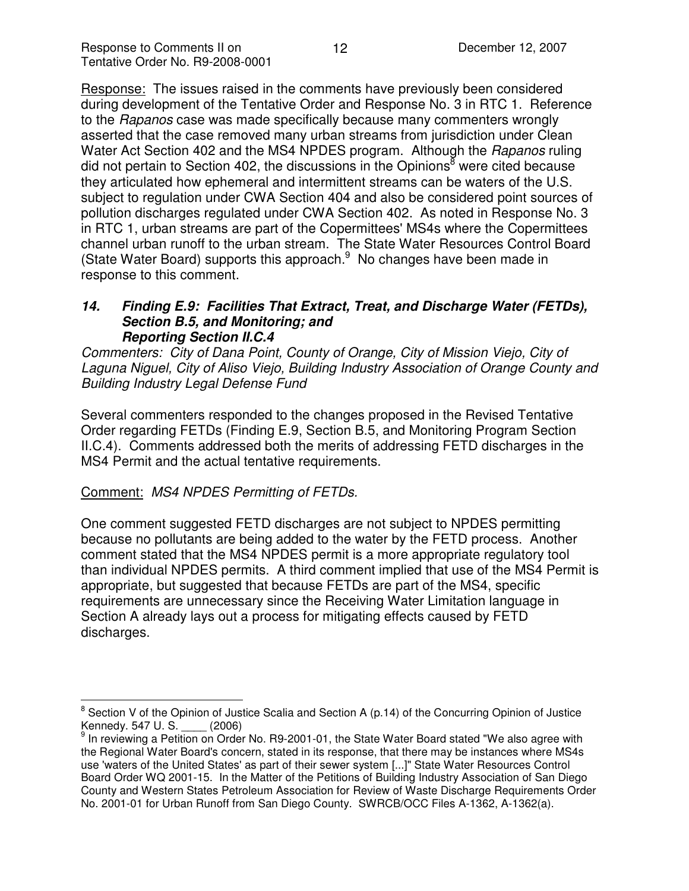Response: The issues raised in the comments have previously been considered during development of the Tentative Order and Response No. 3 in RTC 1. Reference to the *Rapanos* case was made specifically because many commenters wrongly asserted that the case removed many urban streams from jurisdiction under Clean Water Act Section 402 and the MS4 NPDES program. Although the *Rapanos* ruling did not pertain to Section 402, the discussions in the Opinions<sup>8</sup> were cited because they articulated how ephemeral and intermittent streams can be waters of the U.S. subject to regulation under CWA Section 404 and also be considered point sources of pollution discharges regulated under CWA Section 402. As noted in Response No. 3 in RTC 1, urban streams are part of the Copermittees'MS4s where the Copermittees channel urban runoff to the urban stream. The State Water Resources Control Board (State Water Board) supports this approach.<sup>9</sup> No changes have been made in response to this comment.

#### *14. Finding E.9: Facilities That Extract, Treat, and Discharge Water (FETDs), Section B.5, and Monitoring; and Reporting Section II.C.4*

*Commenters: City of Dana Point, County of Orange, City of Mission Viejo, City of Laguna Niguel, City of Aliso Viejo, Building Industry Association of Orange County and Building Industry Legal Defense Fund*

Several commenters responded to the changes proposed in the Revised Tentative Order regarding FETDs (Finding E.9, Section B.5, and Monitoring Program Section II.C.4). Comments addressed both the merits of addressing FETD discharges in the MS4 Permit and the actual tentative requirements.

### Comment: *MS4 NPDES Permitting of FETDs.*

One comment suggested FETD discharges are not subject to NPDES permitting because no pollutants are being added to the water by the FETD process. Another comment stated that the MS4 NPDES permit is a more appropriate regulatory tool than individual NPDES permits. A third comment implied that use of the MS4 Permit is appropriate, but suggested that because FETDs are part of the MS4, specific requirements are unnecessary since the Receiving Water Limitation language in Section A already lays out a process for mitigating effects caused by FETD discharges.

<sup>&</sup>lt;sup>8</sup> Section V of the Opinion of Justice Scalia and Section A (p.14) of the Concurring Opinion of Justice Kennedy. 547 U. S. \_\_\_\_ (2006)

<sup>&</sup>lt;sup>9</sup> In reviewing a Petition on Order No. R9-2001-01, the State Water Board stated "We also agree with the Regional Water Board's concern, stated in its response, that there may be instances where MS4s use 'waters of the United States'as part of their sewer system [...]" State Water Resources Control Board Order WQ 2001-15. In the Matter of the Petitions of Building Industry Association of San Diego County and Western States Petroleum Association for Review of Waste Discharge Requirements Order No. 2001-01 for Urban Runoff from San Diego County. SWRCB/OCC Files A-1362, A-1362(a).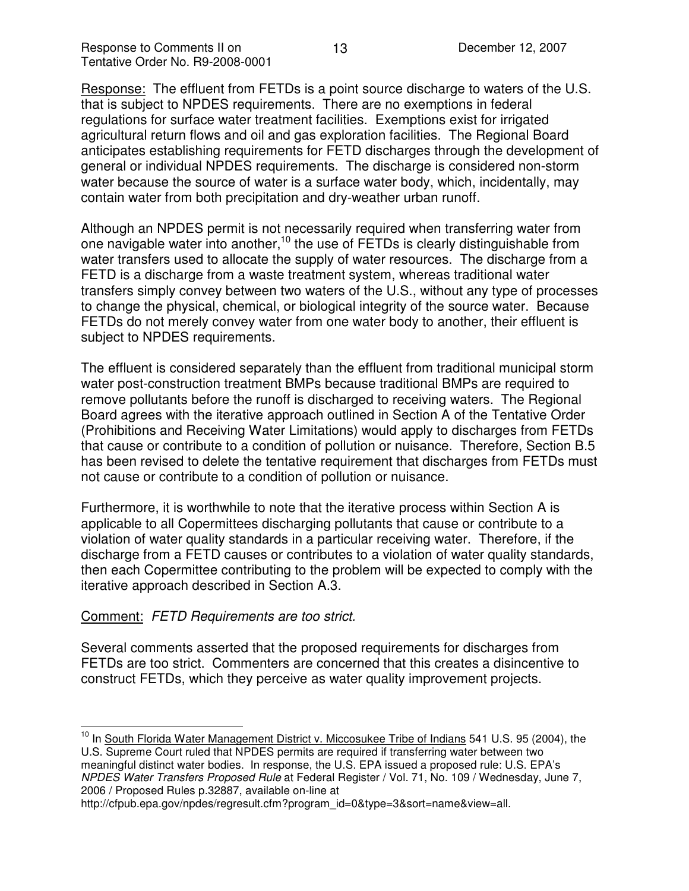Response: The effluent from FETDs is a point source discharge to waters of the U.S. that is subject to NPDES requirements. There are no exemptions in federal regulations for surface water treatment facilities. Exemptions exist for irrigated agricultural return flows and oil and gas exploration facilities. The Regional Board anticipates establishing requirements for FETD discharges through the development of general or individual NPDES requirements. The discharge is considered non-storm water because the source of water is a surface water body, which, incidentally, may contain water from both precipitation and dry-weather urban runoff.

Although an NPDES permit is not necessarily required when transferring water from one navigable water into another,<sup>10</sup> the use of FETDs is clearly distinguishable from water transfers used to allocate the supply of water resources. The discharge from a FETD is a discharge from a waste treatment system, whereas traditional water transfers simply convey between two waters of the U.S., without any type of processes to change the physical, chemical, or biological integrity of the source water. Because FETDs do not merely convey water from one water body to another, their effluent is subject to NPDES requirements.

The effluent is considered separately than the effluent from traditional municipal storm water post-construction treatment BMPs because traditional BMPs are required to remove pollutants before the runoff is discharged to receiving waters. The Regional Board agrees with the iterative approach outlined in Section A of the Tentative Order (Prohibitions and Receiving Water Limitations) would apply to discharges from FETDs that cause or contribute to a condition of pollution or nuisance. Therefore, Section B.5 has been revised to delete the tentative requirement that discharges from FETDs must not cause or contribute to a condition of pollution or nuisance.

Furthermore, it is worthwhile to note that the iterative process within Section A is applicable to all Copermittees discharging pollutants that cause or contribute to a violation of water quality standards in a particular receiving water. Therefore, if the discharge from a FETD causes or contributes to a violation of water quality standards, then each Copermittee contributing to the problem will be expected to comply with the iterative approach described in Section A.3.

### Comment: *FETD Requirements are too strict.*

Several comments asserted that the proposed requirements for discharges from FETDs are too strict. Commenters are concerned that this creates a disincentive to construct FETDs, which they perceive as water quality improvement projects.

http://cfpub.epa.gov/npdes/regresult.cfm?program\_id=0&type=3&sort=name&view=all.

<sup>&</sup>lt;sup>10</sup> In South Florida Water Management District v. Miccosukee Tribe of Indians 541 U.S. 95 (2004), the U.S. Supreme Court ruled that NPDES permits are required if transferring water between two meaningful distinct water bodies. In response, the U.S. EPA issued a proposed rule: U.S. EPA's *NPDES Water Transfers Proposed Rule* at Federal Register / Vol. 71, No. 109 / Wednesday, June 7, 2006 / Proposed Rules p.32887, available on-line at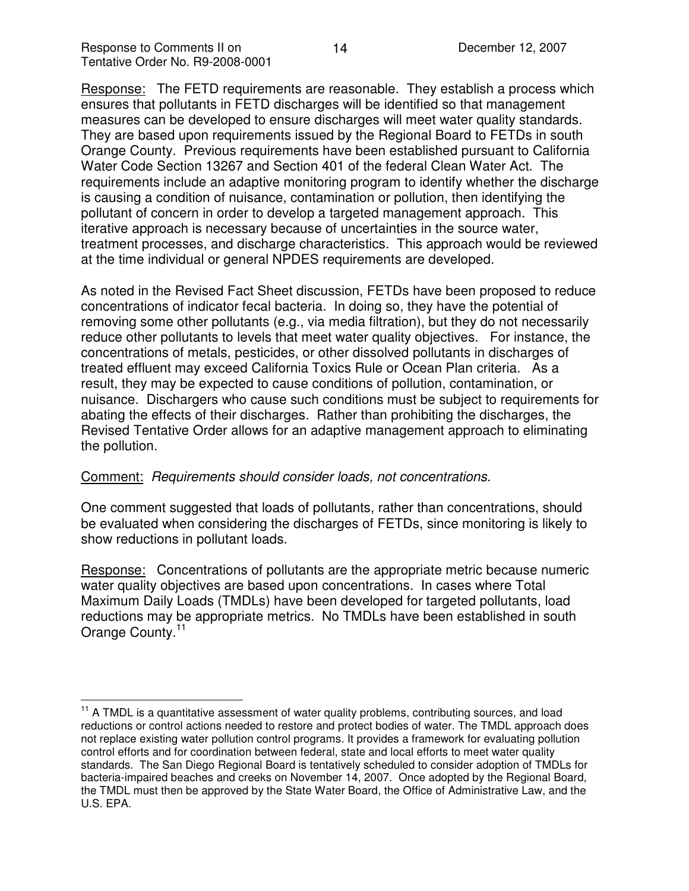Response: The FETD requirements are reasonable. They establish a process which ensures that pollutants in FETD discharges will be identified so that management measures can be developed to ensure discharges will meet water quality standards. They are based upon requirements issued by the Regional Board to FETDs in south Orange County. Previous requirements have been established pursuant to California Water Code Section 13267 and Section 401 of the federal Clean Water Act. The requirements include an adaptive monitoring program to identify whether the discharge is causing a condition of nuisance, contamination or pollution, then identifying the pollutant of concern in order to develop a targeted management approach. This iterative approach is necessary because of uncertainties in the source water, treatment processes, and discharge characteristics. This approach would be reviewed at the time individual or general NPDES requirements are developed.

As noted in the Revised Fact Sheet discussion, FETDs have been proposed to reduce concentrations of indicator fecal bacteria. In doing so, they have the potential of removing some other pollutants (e.g., via media filtration), but they do not necessarily reduce other pollutants to levels that meet water quality objectives. For instance, the concentrations of metals, pesticides, or other dissolved pollutants in discharges of treated effluent may exceed California Toxics Rule or Ocean Plan criteria. As a result, they may be expected to cause conditions of pollution, contamination, or nuisance. Dischargers who cause such conditions must be subject to requirements for abating the effects of their discharges. Rather than prohibiting the discharges, the Revised Tentative Order allows for an adaptive management approach to eliminating the pollution.

### Comment: *Requirements should consider loads, not concentrations.*

One comment suggested that loads of pollutants, rather than concentrations, should be evaluated when considering the discharges of FETDs, since monitoring is likely to show reductions in pollutant loads.

Response: Concentrations of pollutants are the appropriate metric because numeric water quality objectives are based upon concentrations. In cases where Total Maximum Daily Loads (TMDLs) have been developed for targeted pollutants, load reductions may be appropriate metrics. No TMDLs have been established in south Orange County.<sup>11</sup>

<sup>&</sup>lt;sup>11</sup> A TMDL is a quantitative assessment of water quality problems, contributing sources, and load reductions or control actions needed to restore and protect bodies of water. The TMDL approach does not replace existing water pollution control programs. It provides a framework for evaluating pollution control efforts and for coordination between federal, state and local efforts to meet water quality standards. The San Diego Regional Board is tentatively scheduled to consider adoption of TMDLs for bacteria-impaired beaches and creeks on November 14, 2007. Once adopted by the Regional Board, the TMDL must then be approved by the State Water Board, the Office of Administrative Law, and the U.S. EPA.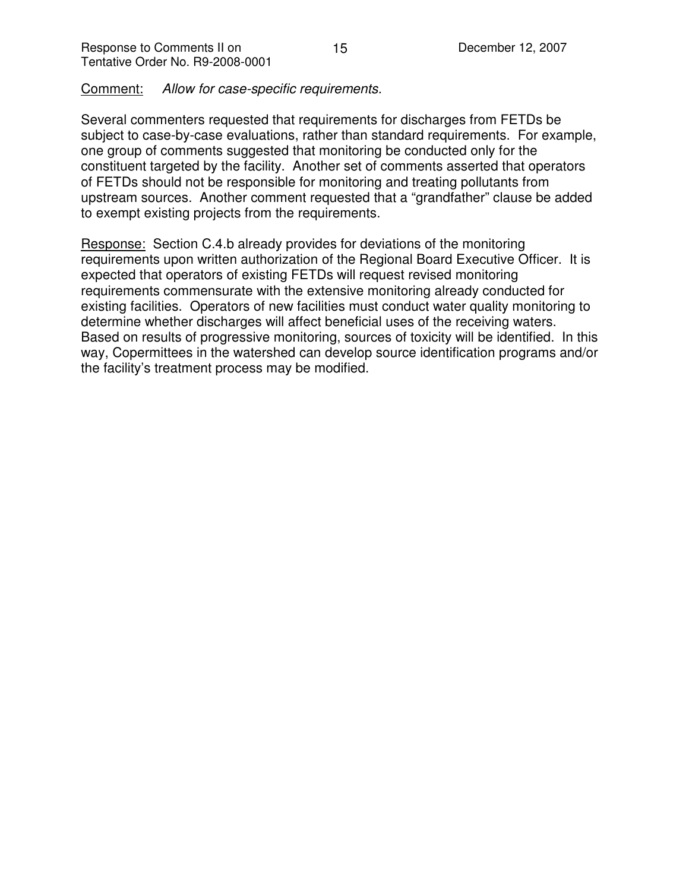Comment: *Allow for case-specific requirements.*

Several commenters requested that requirements for discharges from FETDs be subject to case-by-case evaluations, rather than standard requirements. For example, one group of comments suggested that monitoring be conducted only for the constituent targeted by the facility. Another set of comments asserted that operators of FETDs should not be responsible for monitoring and treating pollutants from upstream sources. Another comment requested that a "grandfather" clause be added to exempt existing projects from the requirements.

Response: Section C.4.b already provides for deviations of the monitoring requirements upon written authorization of the Regional Board Executive Officer. It is expected that operators of existing FETDs will request revised monitoring requirements commensurate with the extensive monitoring already conducted for existing facilities. Operators of new facilities must conduct water quality monitoring to determine whether discharges will affect beneficial uses of the receiving waters. Based on results of progressive monitoring, sources of toxicity will be identified. In this way, Copermittees in the watershed can develop source identification programs and/or the facility's treatment process may be modified.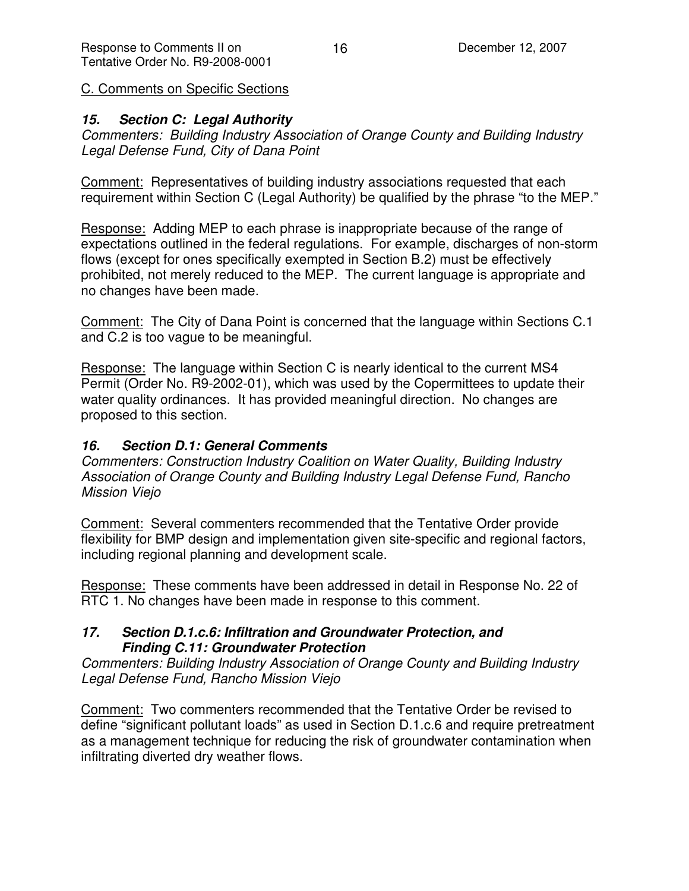C. Comments on Specific Sections

## *15. Section C: Legal Authority*

*Commenters: Building Industry Association of Orange County and Building Industry Legal Defense Fund, City of Dana Point*

Comment: Representatives of building industry associations requested that each requirement within Section C (Legal Authority) be qualified by the phrase "to the MEP."

Response: Adding MEP to each phrase is inappropriate because of the range of expectations outlined in the federal regulations. For example, discharges of non-storm flows (except for ones specifically exempted in Section B.2) must be effectively prohibited, not merely reduced to the MEP. The current language is appropriate and no changes have been made.

Comment: The City of Dana Point is concerned that the language within Sections C.1 and C.2 is too vague to be meaningful.

Response: The language within Section C is nearly identical to the current MS4 Permit (Order No. R9-2002-01), which was used by the Copermittees to update their water quality ordinances. It has provided meaningful direction. No changes are proposed to this section.

## *16. Section D.1: General Comments*

*Commenters: Construction Industry Coalition on Water Quality, Building Industry Association of Orange County and Building Industry Legal Defense Fund, Rancho Mission Viejo*

Comment: Several commenters recommended that the Tentative Order provide flexibility for BMP design and implementation given site-specific and regional factors, including regional planning and development scale.

Response: These comments have been addressed in detail in Response No. 22 of RTC 1. No changes have been made in response to this comment.

#### *17. Section D.1.c.6: Infiltration and Groundwater Protection, and Finding C.11: Groundwater Protection*

*Commenters: Building Industry Association of Orange County and Building Industry Legal Defense Fund, Rancho Mission Viejo*

Comment: Two commenters recommended that the Tentative Order be revised to define "significant pollutant loads" as used in Section D.1.c.6 and require pretreatment as a management technique for reducing the risk of groundwater contamination when infiltrating diverted dry weather flows.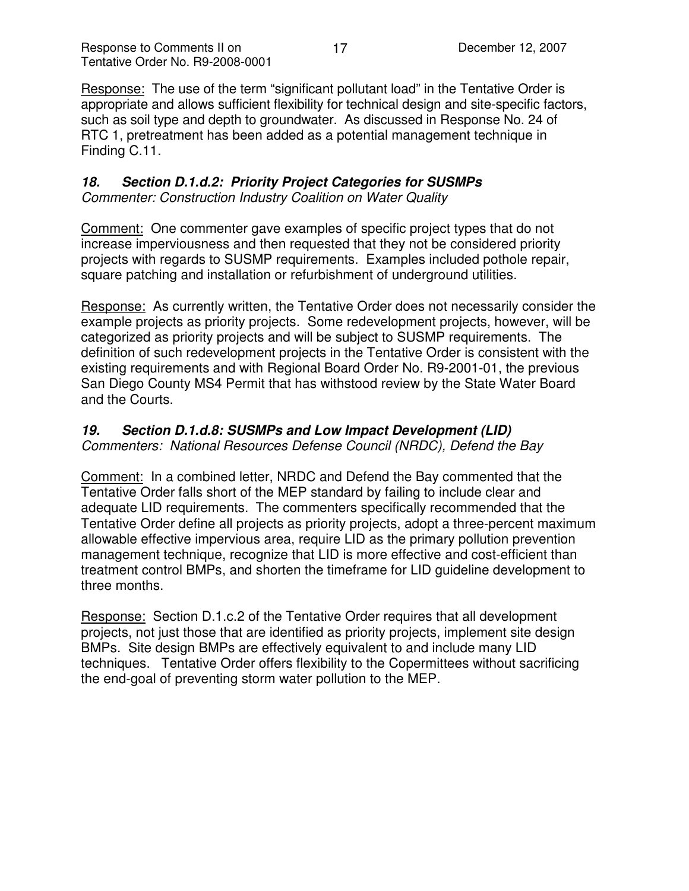Response: The use of the term "significant pollutant load" in the Tentative Order is appropriate and allows sufficient flexibility for technical design and site-specific factors, such as soil type and depth to groundwater. As discussed in Response No. 24 of RTC 1, pretreatment has been added as a potential management technique in Finding C.11.

#### *18. Section D.1.d.2: Priority Project Categories for SUSMPs Commenter: Construction Industry Coalition on Water Quality*

Comment: One commenter gave examples of specific project types that do not increase imperviousness and then requested that they not be considered priority projects with regards to SUSMP requirements. Examples included pothole repair, square patching and installation or refurbishment of underground utilities.

Response: As currently written, the Tentative Order does not necessarily consider the example projects as priority projects. Some redevelopment projects, however, will be categorized as priority projects and will be subject to SUSMP requirements. The definition of such redevelopment projects in the Tentative Order is consistent with the existing requirements and with Regional Board Order No. R9-2001-01, the previous San Diego County MS4 Permit that has withstood review by the State Water Board and the Courts.

#### *19. Section D.1.d.8: SUSMPs and Low Impact Development (LID) Commenters: National Resources Defense Council (NRDC), Defend the Bay*

Comment: In a combined letter, NRDC and Defend the Bay commented that the Tentative Order falls short of the MEP standard by failing to include clear and adequate LID requirements. The commenters specifically recommended that the Tentative Order define all projects as priority projects, adopt a three-percent maximum allowable effective impervious area, require LID as the primary pollution prevention management technique, recognize that LID is more effective and cost-efficient than treatment control BMPs, and shorten the timeframe for LID guideline development to three months.

Response: Section D.1.c.2 of the Tentative Order requires that all development projects, not just those that are identified as priority projects, implement site design BMPs. Site design BMPs are effectively equivalent to and include many LID techniques. Tentative Order offers flexibility to the Copermittees without sacrificing the end-goal of preventing storm water pollution to the MEP.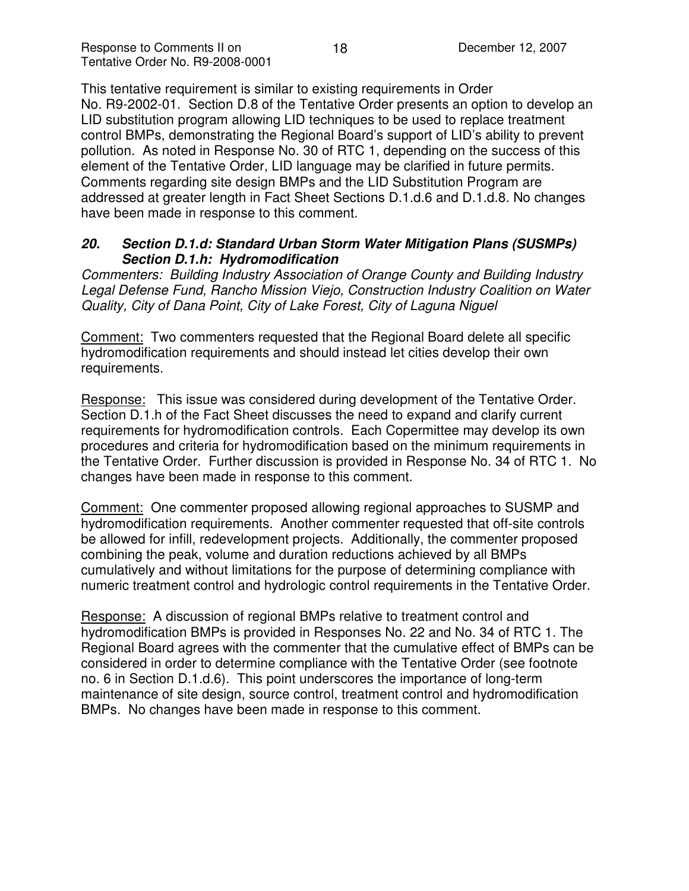This tentative requirement is similar to existing requirements in Order No. R9-2002-01. Section D.8 of the Tentative Order presents an option to develop an LID substitution program allowing LID techniques to be used to replace treatment control BMPs, demonstrating the Regional Board's support of LID's ability to prevent pollution. As noted in Response No. 30 of RTC 1, depending on the success of this element of the Tentative Order, LID language may be clarified in future permits. Comments regarding site design BMPs and the LID Substitution Program are addressed at greater length in Fact Sheet Sections D.1.d.6 and D.1.d.8. No changes have been made in response to this comment.

### *20. Section D.1.d: Standard Urban Storm Water Mitigation Plans (SUSMPs) Section D.1.h: Hydromodification*

*Commenters: Building Industry Association of Orange County and Building Industry Legal Defense Fund, Rancho Mission Viejo, Construction Industry Coalition on Water Quality, City of Dana Point, City of Lake Forest, City of Laguna Niguel*

Comment: Two commenters requested that the Regional Board delete all specific hydromodification requirements and should instead let cities develop their own requirements.

Response: This issue was considered during development of the Tentative Order. Section D.1.h of the Fact Sheet discusses the need to expand and clarify current requirements for hydromodification controls. Each Copermittee may develop its own procedures and criteria for hydromodification based on the minimum requirements in the Tentative Order. Further discussion is provided in Response No. 34 of RTC 1. No changes have been made in response to this comment.

Comment: One commenter proposed allowing regional approaches to SUSMP and hydromodification requirements. Another commenter requested that off-site controls be allowed for infill, redevelopment projects. Additionally, the commenter proposed combining the peak, volume and duration reductions achieved by all BMPs cumulatively and without limitations for the purpose of determining compliance with numeric treatment control and hydrologic control requirements in the Tentative Order.

Response: A discussion of regional BMPs relative to treatment control and hydromodification BMPs is provided in Responses No. 22 and No. 34 of RTC 1. The Regional Board agrees with the commenter that the cumulative effect of BMPs can be considered in order to determine compliance with the Tentative Order (see footnote no. 6 in Section D.1.d.6). This point underscores the importance of long-term maintenance of site design, source control, treatment control and hydromodification BMPs. No changes have been made in response to this comment.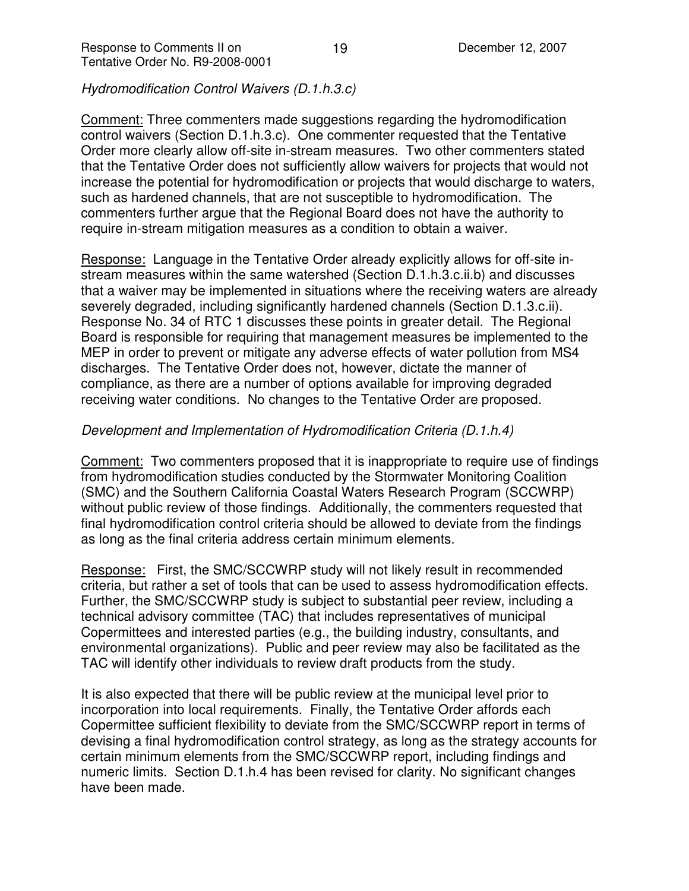*Hydromodification Control Waivers (D.1.h.3.c)*

Comment: Three commenters made suggestions regarding the hydromodification control waivers (Section D.1.h.3.c). One commenter requested that the Tentative Order more clearly allow off-site in-stream measures. Two other commenters stated that the Tentative Order does not sufficiently allow waivers for projects that would not increase the potential for hydromodification or projects that would discharge to waters, such as hardened channels, that are not susceptible to hydromodification. The commenters further argue that the Regional Board does not have the authority to require in-stream mitigation measures as a condition to obtain a waiver.

Response: Language in the Tentative Order already explicitly allows for off-site instream measures within the same watershed (Section D.1.h.3.c.ii.b) and discusses that a waiver may be implemented in situations where the receiving waters are already severely degraded, including significantly hardened channels (Section D.1.3.c.ii). Response No. 34 of RTC 1 discusses these points in greater detail. The Regional Board is responsible for requiring that management measures be implemented to the MEP in order to prevent or mitigate any adverse effects of water pollution from MS4 discharges. The Tentative Order does not, however, dictate the manner of compliance, as there are a number of options available for improving degraded receiving water conditions. No changes to the Tentative Order are proposed.

#### *Development and Implementation of Hydromodification Criteria (D.1.h.4)*

Comment: Two commenters proposed that it is inappropriate to require use of findings from hydromodification studies conducted by the Stormwater Monitoring Coalition (SMC) and the Southern California Coastal Waters Research Program (SCCWRP) without public review of those findings. Additionally, the commenters requested that final hydromodification control criteria should be allowed to deviate from the findings as long as the final criteria address certain minimum elements.

Response: First, the SMC/SCCWRP study will not likely result in recommended criteria, but rather a set of tools that can be used to assess hydromodification effects. Further, the SMC/SCCWRP study is subject to substantial peer review, including a technical advisory committee (TAC) that includes representatives of municipal Copermittees and interested parties (e.g., the building industry, consultants, and environmental organizations). Public and peer review may also be facilitated as the TAC will identify other individuals to review draft products from the study.

It is also expected that there will be public review at the municipal level prior to incorporation into local requirements. Finally, the Tentative Order affords each Copermittee sufficient flexibility to deviate from the SMC/SCCWRP report in terms of devising a final hydromodification control strategy, as long as the strategy accounts for certain minimum elements from the SMC/SCCWRP report, including findings and numeric limits. Section D.1.h.4 has been revised for clarity. No significant changes have been made.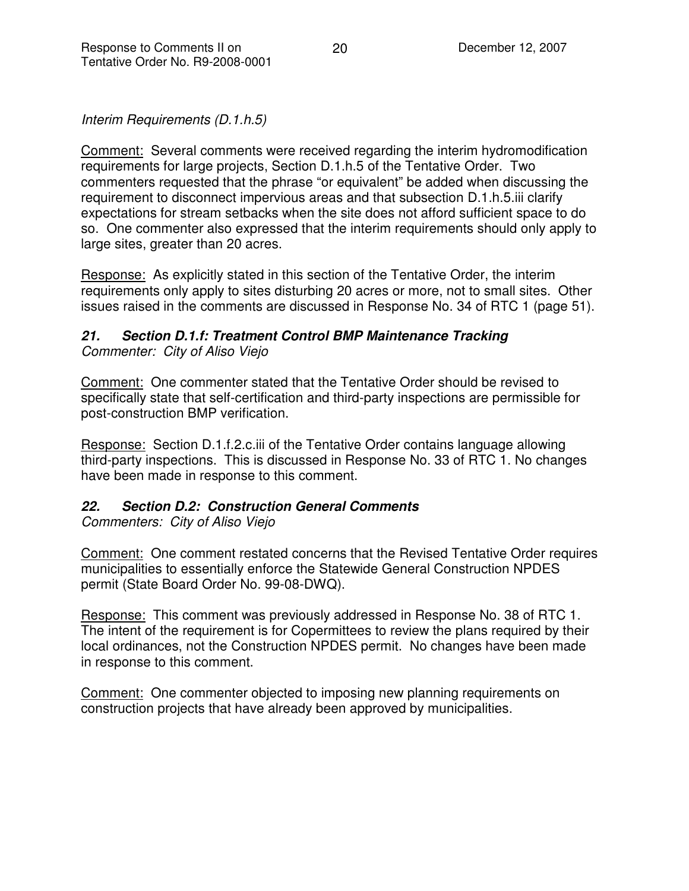*Interim Requirements (D.1.h.5)*

Comment: Several comments were received regarding the interim hydromodification requirements for large projects, Section D.1.h.5 of the Tentative Order. Two commenters requested that the phrase "or equivalent" be added when discussing the requirement to disconnect impervious areas and that subsection D.1.h.5.iii clarify expectations for stream setbacks when the site does not afford sufficient space to do so. One commenter also expressed that the interim requirements should only apply to large sites, greater than 20 acres.

Response: As explicitly stated in this section of the Tentative Order, the interim requirements only apply to sites disturbing 20 acres or more, not to small sites. Other issues raised in the comments are discussed in Response No. 34 of RTC 1 (page 51).

### *21. Section D.1.f: Treatment Control BMP Maintenance Tracking Commenter: City of Aliso Viejo*

Comment: One commenter stated that the Tentative Order should be revised to specifically state that self-certification and third-party inspections are permissible for post-construction BMP verification.

Response: Section D.1.f.2.c.iii of the Tentative Order contains language allowing third-party inspections. This is discussed in Response No. 33 of RTC 1. No changes have been made in response to this comment.

# *22. Section D.2: Construction General Comments*

*Commenters: City of Aliso Viejo*

Comment: One comment restated concerns that the Revised Tentative Order requires municipalities to essentially enforce the Statewide General Construction NPDES permit (State Board Order No. 99-08-DWQ).

Response: This comment was previously addressed in Response No. 38 of RTC 1. The intent of the requirement is for Copermittees to review the plans required by their local ordinances, not the Construction NPDES permit. No changes have been made in response to this comment.

Comment: One commenter objected to imposing new planning requirements on construction projects that have already been approved by municipalities.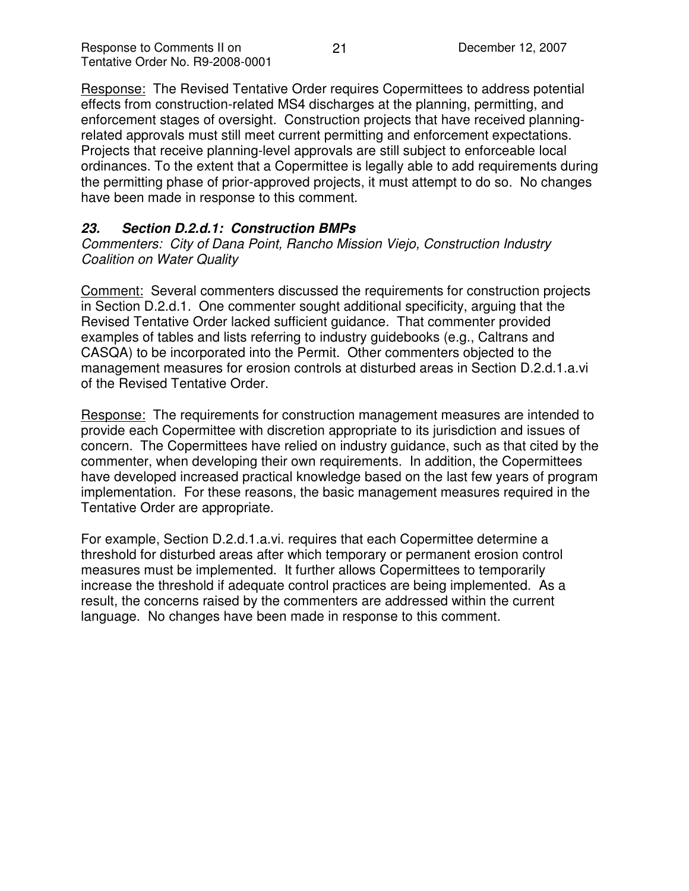Response: The Revised Tentative Order requires Copermittees to address potential effects from construction-related MS4 discharges at the planning, permitting, and enforcement stages of oversight. Construction projects that have received planningrelated approvals must still meet current permitting and enforcement expectations. Projects that receive planning-level approvals are still subject to enforceable local ordinances. To the extent that a Copermittee is legally able to add requirements during the permitting phase of prior-approved projects, it must attempt to do so. No changes have been made in response to this comment.

## *23. Section D.2.d.1: Construction BMPs*

*Commenters: City of Dana Point, Rancho Mission Viejo, Construction Industry Coalition on Water Quality*

Comment: Several commenters discussed the requirements for construction projects in Section D.2.d.1. One commenter sought additional specificity, arguing that the Revised Tentative Order lacked sufficient guidance. That commenter provided examples of tables and lists referring to industry guidebooks (e.g., Caltrans and CASQA) to be incorporated into the Permit. Other commenters objected to the management measures for erosion controls at disturbed areas in Section D.2.d.1.a.vi of the Revised Tentative Order.

Response: The requirements for construction management measures are intended to provide each Copermittee with discretion appropriate to its jurisdiction and issues of concern. The Copermittees have relied on industry guidance, such as that cited by the commenter, when developing their own requirements. In addition, the Copermittees have developed increased practical knowledge based on the last few years of program implementation. For these reasons, the basic management measures required in the Tentative Order are appropriate.

For example, Section D.2.d.1.a.vi. requires that each Copermittee determine a threshold for disturbed areas after which temporary or permanent erosion control measures must be implemented. It further allows Copermittees to temporarily increase the threshold if adequate control practices are being implemented. As a result, the concerns raised by the commenters are addressed within the current language. No changes have been made in response to this comment.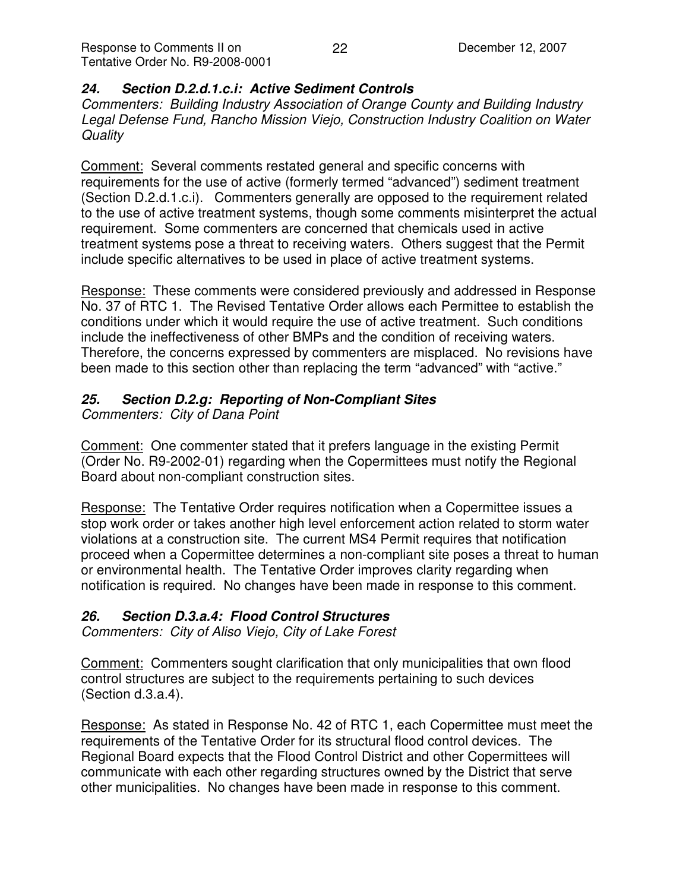## *24. Section D.2.d.1.c.i: Active Sediment Controls*

*Commenters: Building Industry Association of Orange County and Building Industry Legal Defense Fund, Rancho Mission Viejo, Construction Industry Coalition on Water Quality*

Comment: Several comments restated general and specific concerns with requirements for the use of active (formerly termed "advanced") sediment treatment (Section D.2.d.1.c.i). Commenters generally are opposed to the requirement related to the use of active treatment systems, though some comments misinterpret the actual requirement. Some commenters are concerned that chemicals used in active treatment systems pose a threat to receiving waters. Others suggest that the Permit include specific alternatives to be used in place of active treatment systems.

Response: These comments were considered previously and addressed in Response No. 37 of RTC 1. The Revised Tentative Order allows each Permittee to establish the conditions under which it would require the use of active treatment. Such conditions include the ineffectiveness of other BMPs and the condition of receiving waters. Therefore, the concerns expressed by commenters are misplaced. No revisions have been made to this section other than replacing the term "advanced" with "active."

## *25. Section D.2.g: Reporting of Non-Compliant Sites*

*Commenters: City of Dana Point*

Comment: One commenter stated that it prefers language in the existing Permit (Order No. R9-2002-01) regarding when the Copermittees must notify the Regional Board about non-compliant construction sites.

Response: The Tentative Order requires notification when a Copermittee issues a stop work order or takes another high level enforcement action related to storm water violations at a construction site. The current MS4 Permit requires that notification proceed when a Copermittee determines a non-compliant site poses a threat to human or environmental health. The Tentative Order improves clarity regarding when notification is required. No changes have been made in response to this comment.

### *26. Section D.3.a.4: Flood Control Structures*

*Commenters: City of Aliso Viejo, City of Lake Forest*

Comment: Commenters sought clarification that only municipalities that own flood control structures are subject to the requirements pertaining to such devices (Section d.3.a.4).

Response: As stated in Response No. 42 of RTC 1, each Copermittee must meet the requirements of the Tentative Order for its structural flood control devices. The Regional Board expects that the Flood Control District and other Copermittees will communicate with each other regarding structures owned by the District that serve other municipalities. No changes have been made in response to this comment.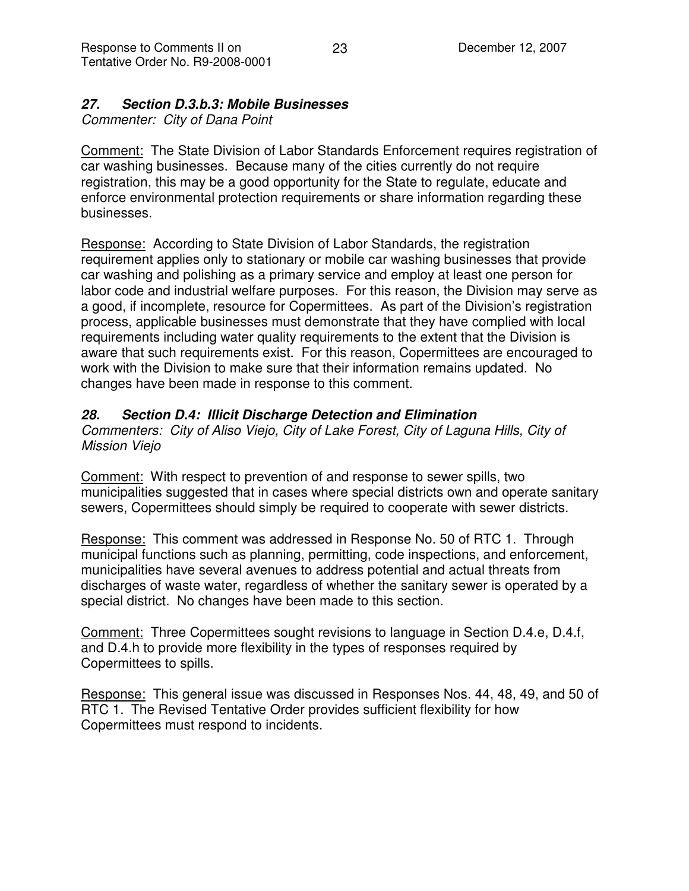# *27. Section D.3.b.3: Mobile Businesses*

*Commenter: City of Dana Point*

Comment: The State Division of Labor Standards Enforcement requires registration of car washing businesses. Because many of the cities currently do not require registration, this may be a good opportunity for the State to regulate, educate and enforce environmental protection requirements or share information regarding these businesses.

Response: According to State Division of Labor Standards, the registration requirement applies only to stationary or mobile car washing businesses that provide car washing and polishing as a primary service and employ at least one person for labor code and industrial welfare purposes. For this reason, the Division may serve as a good, if incomplete, resource for Copermittees. As part of the Division's registration process, applicable businesses must demonstrate that they have complied with local requirements including water quality requirements to the extent that the Division is aware that such requirements exist. For this reason, Copermittees are encouraged to work with the Division to make sure that their information remains updated. No changes have been made in response to this comment.

# *28. Section D.4: Illicit Discharge Detection and Elimination*

*Commenters: City of Aliso Viejo, City of Lake Forest, City of Laguna Hills, City of Mission Viejo*

Comment: With respect to prevention of and response to sewer spills, two municipalities suggested that in cases where special districts own and operate sanitary sewers, Copermittees should simply be required to cooperate with sewer districts.

Response: This comment was addressed in Response No. 50 of RTC 1. Through municipal functions such as planning, permitting, code inspections, and enforcement, municipalities have several avenues to address potential and actual threats from discharges of waste water, regardless of whether the sanitary sewer is operated by a special district. No changes have been made to this section.

Comment: Three Copermittees sought revisions to language in Section D.4.e, D.4.f, and D.4.h to provide more flexibility in the types of responses required by Copermittees to spills.

Response: This general issue was discussed in Responses Nos. 44, 48, 49, and 50 of RTC 1. The Revised Tentative Order provides sufficient flexibility for how Copermittees must respond to incidents.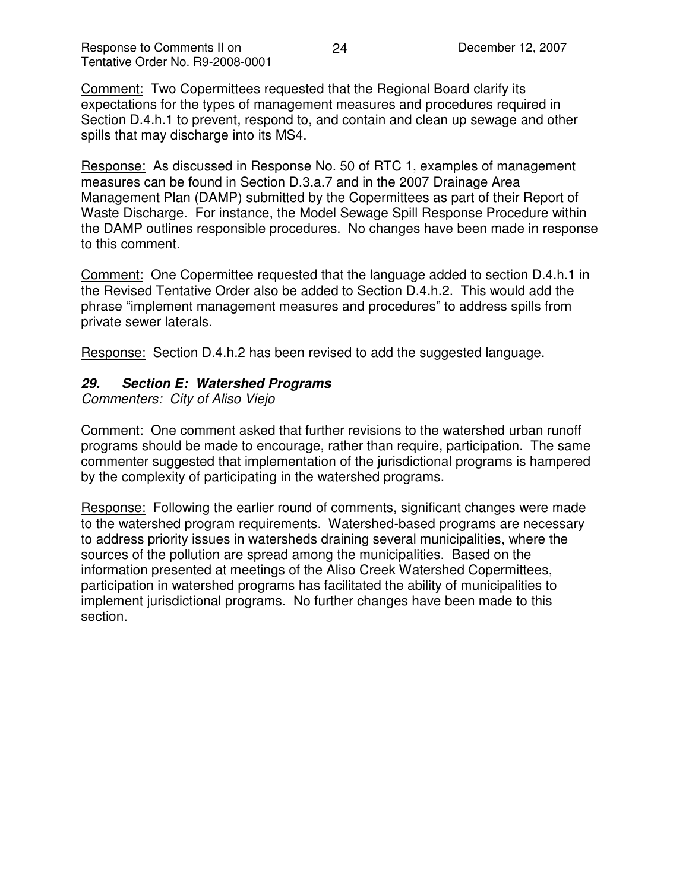Comment: Two Copermittees requested that the Regional Board clarify its expectations for the types of management measures and procedures required in Section D.4.h.1 to prevent, respond to, and contain and clean up sewage and other spills that may discharge into its MS4.

Response: As discussed in Response No. 50 of RTC 1, examples of management measures can be found in Section D.3.a.7 and in the 2007 Drainage Area Management Plan (DAMP) submitted by the Copermittees as part of their Report of Waste Discharge. For instance, the Model Sewage Spill Response Procedure within the DAMP outlines responsible procedures. No changes have been made in response to this comment.

Comment: One Copermittee requested that the language added to section D.4.h.1 in the Revised Tentative Order also be added to Section D.4.h.2. This would add the phrase "implement management measures and procedures" to address spills from private sewer laterals.

Response: Section D.4.h.2 has been revised to add the suggested language.

#### *29. Section E: Watershed Programs*

*Commenters: City of Aliso Viejo*

Comment: One comment asked that further revisions to the watershed urban runoff programs should be made to encourage, rather than require, participation. The same commenter suggested that implementation of the jurisdictional programs is hampered by the complexity of participating in the watershed programs.

Response: Following the earlier round of comments, significant changes were made to the watershed program requirements. Watershed-based programs are necessary to address priority issues in watersheds draining several municipalities, where the sources of the pollution are spread among the municipalities. Based on the information presented at meetings of the Aliso Creek Watershed Copermittees, participation in watershed programs has facilitated the ability of municipalities to implement jurisdictional programs. No further changes have been made to this section.